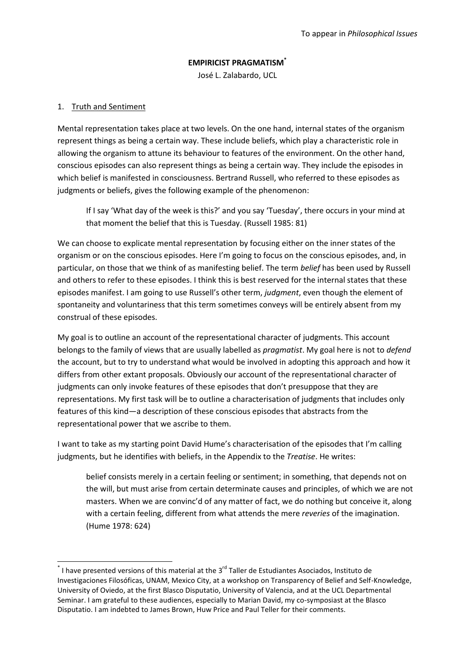# **EMPIRICIST PRAGMATISM\***

José L. Zalabardo, UCL

# 1. Truth and Sentiment

 $\overline{a}$ 

Mental representation takes place at two levels. On the one hand, internal states of the organism represent things as being a certain way. These include beliefs, which play a characteristic role in allowing the organism to attune its behaviour to features of the environment. On the other hand, conscious episodes can also represent things as being a certain way. They include the episodes in which belief is manifested in consciousness. Bertrand Russell, who referred to these episodes as judgments or beliefs, gives the following example of the phenomenon:

If I say 'What day of the week is this?' and you say 'Tuesday', there occurs in your mind at that moment the belief that this is Tuesday. [\(Russell 1985: 81\)](#page-16-0)

We can choose to explicate mental representation by focusing either on the inner states of the organism or on the conscious episodes. Here I'm going to focus on the conscious episodes, and, in particular, on those that we think of as manifesting belief. The term *belief* has been used by Russell and others to refer to these episodes. I think this is best reserved for the internal states that these episodes manifest. I am going to use Russell's other term, *judgment*, even though the element of spontaneity and voluntariness that this term sometimes conveys will be entirely absent from my construal of these episodes.

My goal is to outline an account of the representational character of judgments. This account belongs to the family of views that are usually labelled as *pragmatist*. My goal here is not to *defend* the account, but to try to understand what would be involved in adopting this approach and how it differs from other extant proposals. Obviously our account of the representational character of judgments can only invoke features of these episodes that don't presuppose that they are representations. My first task will be to outline a characterisation of judgments that includes only features of this kind—a description of these conscious episodes that abstracts from the representational power that we ascribe to them.

I want to take as my starting point David Hume's characterisation of the episodes that I'm calling judgments, but he identifies with beliefs, in the Appendix to the *Treatise*. He writes:

belief consists merely in a certain feeling or sentiment; in something, that depends not on the will, but must arise from certain determinate causes and principles, of which we are not masters. When we are convinc'd of any matter of fact, we do nothing but conceive it, along with a certain feeling, different from what attends the mere *reveries* of the imagination. [\(Hume 1978: 624\)](#page-16-1)

 $^*$  I have presented versions of this material at the 3<sup>rd</sup> Taller de Estudiantes Asociados, Instituto de Investigaciones Filosóficas, UNAM, Mexico City, at a workshop on Transparency of Belief and Self-Knowledge, University of Oviedo, at the first Blasco Disputatio, University of Valencia, and at the UCL Departmental Seminar. I am grateful to these audiences, especially to Marian David, my co-symposiast at the Blasco Disputatio. I am indebted to James Brown, Huw Price and Paul Teller for their comments.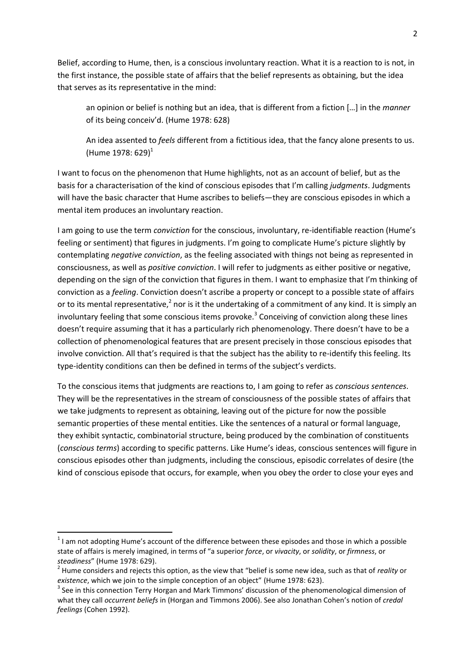Belief, according to Hume, then, is a conscious involuntary reaction. What it is a reaction to is not, in the first instance, the possible state of affairs that the belief represents as obtaining, but the idea that serves as its representative in the mind:

an opinion or belief is nothing but an idea, that is different from a fiction […] in the *manner* of its being conceiv'd. [\(Hume 1978: 628\)](#page-16-1)

An idea assented to *feels* different from a fictitious idea, that the fancy alone presents to us. [\(Hume 1978: 629\)](#page-16-1)<sup>1</sup>

I want to focus on the phenomenon that Hume highlights, not as an account of belief, but as the basis for a characterisation of the kind of conscious episodes that I'm calling *judgments*. Judgments will have the basic character that Hume ascribes to beliefs—they are conscious episodes in which a mental item produces an involuntary reaction.

I am going to use the term *conviction* for the conscious, involuntary, re-identifiable reaction (Hume's feeling or sentiment) that figures in judgments. I'm going to complicate Hume's picture slightly by contemplating *negative conviction*, as the feeling associated with things not being as represented in consciousness, as well as *positive conviction*. I will refer to judgments as either positive or negative, depending on the sign of the conviction that figures in them. I want to emphasize that I'm thinking of conviction as a *feeling*. Conviction doesn't ascribe a property or concept to a possible state of affairs or to its mental representative,<sup>2</sup> nor is it the undertaking of a commitment of any kind. It is simply an involuntary feeling that some conscious items provoke.<sup>3</sup> Conceiving of conviction along these lines doesn't require assuming that it has a particularly rich phenomenology. There doesn't have to be a collection of phenomenological features that are present precisely in those conscious episodes that involve conviction. All that's required is that the subject has the ability to re-identify this feeling. Its type-identity conditions can then be defined in terms of the subject's verdicts.

To the conscious items that judgments are reactions to, I am going to refer as *conscious sentences*. They will be the representatives in the stream of consciousness of the possible states of affairs that we take judgments to represent as obtaining, leaving out of the picture for now the possible semantic properties of these mental entities. Like the sentences of a natural or formal language, they exhibit syntactic, combinatorial structure, being produced by the combination of constituents (*conscious terms*) according to specific patterns. Like Hume's ideas, conscious sentences will figure in conscious episodes other than judgments, including the conscious, episodic correlates of desire (the kind of conscious episode that occurs, for example, when you obey the order to close your eyes and

 $1$  I am not adopting Hume's account of the difference between these episodes and those in which a possible state of affairs is merely imagined, in terms of "a superior *force*, or *vivacity*, or *solidity*, or *firmness*, or *steadiness*" [\(Hume 1978: 629\)](#page-16-1).

<sup>2</sup> Hume considers and rejects this option, as the view that "belief is some new idea, such as that of *reality* or *existence*, which we join to the simple conception of an object" [\(Hume 1978: 623\)](#page-16-1).

<sup>&</sup>lt;sup>3</sup> See in this connection Terry Horgan and Mark Timmons' discussion of the phenomenological dimension of what they call *occurrent beliefs* in [\(Horgan and Timmons 2006\)](#page-16-2). See also Jonathan Cohen's notion of *credal feelings* [\(Cohen 1992\)](#page-15-0).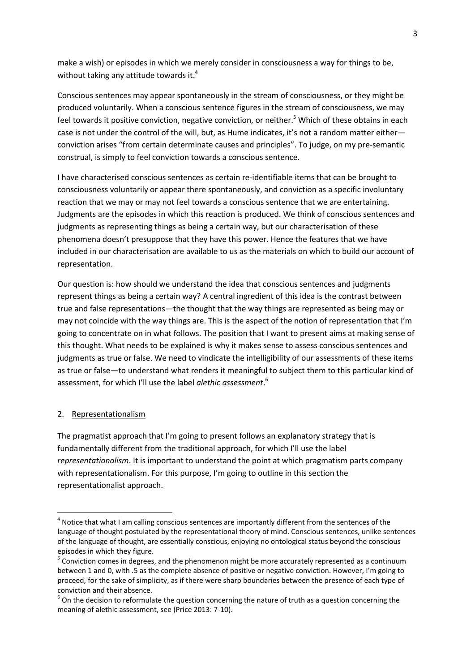make a wish) or episodes in which we merely consider in consciousness a way for things to be, without taking any attitude towards it.<sup>4</sup>

Conscious sentences may appear spontaneously in the stream of consciousness, or they might be produced voluntarily. When a conscious sentence figures in the stream of consciousness, we may feel towards it positive conviction, negative conviction, or neither.<sup>5</sup> Which of these obtains in each case is not under the control of the will, but, as Hume indicates, it's not a random matter either conviction arises "from certain determinate causes and principles". To judge, on my pre-semantic construal, is simply to feel conviction towards a conscious sentence.

I have characterised conscious sentences as certain re-identifiable items that can be brought to consciousness voluntarily or appear there spontaneously, and conviction as a specific involuntary reaction that we may or may not feel towards a conscious sentence that we are entertaining. Judgments are the episodes in which this reaction is produced. We think of conscious sentences and judgments as representing things as being a certain way, but our characterisation of these phenomena doesn't presuppose that they have this power. Hence the features that we have included in our characterisation are available to us as the materials on which to build our account of representation.

Our question is: how should we understand the idea that conscious sentences and judgments represent things as being a certain way? A central ingredient of this idea is the contrast between true and false representations—the thought that the way things are represented as being may or may not coincide with the way things are. This is the aspect of the notion of representation that I'm going to concentrate on in what follows. The position that I want to present aims at making sense of this thought. What needs to be explained is why it makes sense to assess conscious sentences and judgments as true or false. We need to vindicate the intelligibility of our assessments of these items as true or false—to understand what renders it meaningful to subject them to this particular kind of assessment, for which I'll use the label *alethic assessment*. 6

#### 2. Representationalism

**.** 

The pragmatist approach that I'm going to present follows an explanatory strategy that is fundamentally different from the traditional approach, for which I'll use the label *representationalism*. It is important to understand the point at which pragmatism parts company with representationalism. For this purpose, I'm going to outline in this section the representationalist approach.

 $<sup>4</sup>$  Notice that what I am calling conscious sentences are importantly different from the sentences of the</sup> language of thought postulated by the representational theory of mind. Conscious sentences, unlike sentences of the language of thought, are essentially conscious, enjoying no ontological status beyond the conscious episodes in which they figure.

 $5$  Conviction comes in degrees, and the phenomenon might be more accurately represented as a continuum between 1 and 0, with .5 as the complete absence of positive or negative conviction. However, I'm going to proceed, for the sake of simplicity, as if there were sharp boundaries between the presence of each type of conviction and their absence.

 $^6$  On the decision to reformulate the question concerning the nature of truth as a question concerning the meaning of alethic assessment, see [\(Price 2013: 7-10\)](#page-16-3).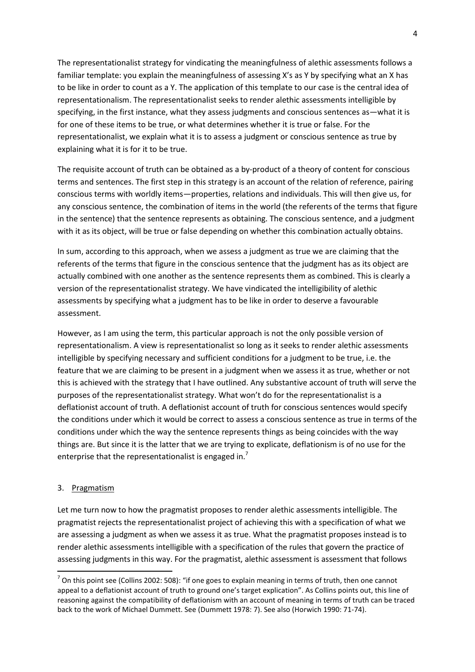The representationalist strategy for vindicating the meaningfulness of alethic assessments follows a familiar template: you explain the meaningfulness of assessing X's as Y by specifying what an X has to be like in order to count as a Y. The application of this template to our case is the central idea of representationalism. The representationalist seeks to render alethic assessments intelligible by specifying, in the first instance, what they assess judgments and conscious sentences as—what it is for one of these items to be true, or what determines whether it is true or false. For the representationalist, we explain what it is to assess a judgment or conscious sentence as true by explaining what it is for it to be true.

The requisite account of truth can be obtained as a by-product of a theory of content for conscious terms and sentences. The first step in this strategy is an account of the relation of reference, pairing conscious terms with worldly items—properties, relations and individuals. This will then give us, for any conscious sentence, the combination of items in the world (the referents of the terms that figure in the sentence) that the sentence represents as obtaining. The conscious sentence, and a judgment with it as its object, will be true or false depending on whether this combination actually obtains.

In sum, according to this approach, when we assess a judgment as true we are claiming that the referents of the terms that figure in the conscious sentence that the judgment has as its object are actually combined with one another as the sentence represents them as combined. This is clearly a version of the representationalist strategy. We have vindicated the intelligibility of alethic assessments by specifying what a judgment has to be like in order to deserve a favourable assessment.

However, as I am using the term, this particular approach is not the only possible version of representationalism. A view is representationalist so long as it seeks to render alethic assessments intelligible by specifying necessary and sufficient conditions for a judgment to be true, i.e. the feature that we are claiming to be present in a judgment when we assess it as true, whether or not this is achieved with the strategy that I have outlined. Any substantive account of truth will serve the purposes of the representationalist strategy. What won't do for the representationalist is a deflationist account of truth. A deflationist account of truth for conscious sentences would specify the conditions under which it would be correct to assess a conscious sentence as true in terms of the conditions under which the way the sentence represents things as being coincides with the way things are. But since it is the latter that we are trying to explicate, deflationism is of no use for the enterprise that the representationalist is engaged in.<sup>7</sup>

## 3. Pragmatism

**.** 

Let me turn now to how the pragmatist proposes to render alethic assessments intelligible. The pragmatist rejects the representationalist project of achieving this with a specification of what we are assessing a judgment as when we assess it as true. What the pragmatist proposes instead is to render alethic assessments intelligible with a specification of the rules that govern the practice of assessing judgments in this way. For the pragmatist, alethic assessment is assessment that follows

 $<sup>7</sup>$  On this point see [\(Collins 2002: 508\)](#page-15-1): "if one goes to explain meaning in terms of truth, then one cannot</sup> appeal to a deflationist account of truth to ground one's target explication". As Collins points out, this line of reasoning against the compatibility of deflationism with an account of meaning in terms of truth can be traced back to the work of Michael Dummett. See [\(Dummett 1978: 7\)](#page-15-2). See also [\(Horwich 1990: 71-74\)](#page-16-4).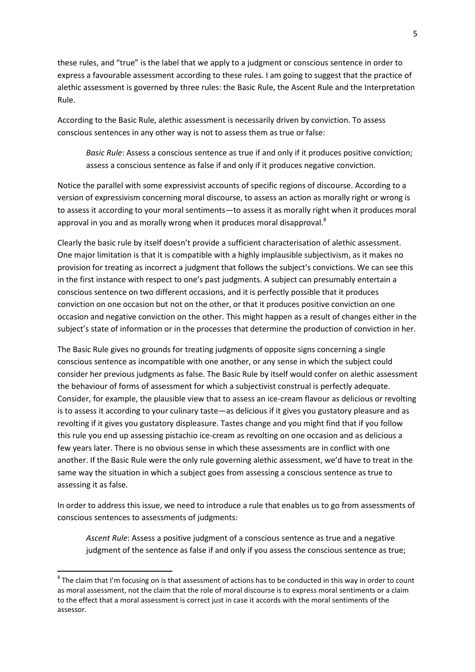these rules, and "true" is the label that we apply to a judgment or conscious sentence in order to express a favourable assessment according to these rules. I am going to suggest that the practice of alethic assessment is governed by three rules: the Basic Rule, the Ascent Rule and the Interpretation Rule.

According to the Basic Rule, alethic assessment is necessarily driven by conviction. To assess conscious sentences in any other way is not to assess them as true or false:

*Basic Rule*: Assess a conscious sentence as true if and only if it produces positive conviction; assess a conscious sentence as false if and only if it produces negative conviction.

Notice the parallel with some expressivist accounts of specific regions of discourse. According to a version of expressivism concerning moral discourse, to assess an action as morally right or wrong is to assess it according to your moral sentiments—to assess it as morally right when it produces moral approval in you and as morally wrong when it produces moral disapproval.<sup>8</sup>

Clearly the basic rule by itself doesn't provide a sufficient characterisation of alethic assessment. One major limitation is that it is compatible with a highly implausible subjectivism, as it makes no provision for treating as incorrect a judgment that follows the subject's convictions. We can see this in the first instance with respect to one's past judgments. A subject can presumably entertain a conscious sentence on two different occasions, and it is perfectly possible that it produces conviction on one occasion but not on the other, or that it produces positive conviction on one occasion and negative conviction on the other. This might happen as a result of changes either in the subject's state of information or in the processes that determine the production of conviction in her.

The Basic Rule gives no grounds for treating judgments of opposite signs concerning a single conscious sentence as incompatible with one another, or any sense in which the subject could consider her previous judgments as false. The Basic Rule by itself would confer on alethic assessment the behaviour of forms of assessment for which a subjectivist construal is perfectly adequate. Consider, for example, the plausible view that to assess an ice-cream flavour as delicious or revolting is to assess it according to your culinary taste—as delicious if it gives you gustatory pleasure and as revolting if it gives you gustatory displeasure. Tastes change and you might find that if you follow this rule you end up assessing pistachio ice-cream as revolting on one occasion and as delicious a few years later. There is no obvious sense in which these assessments are in conflict with one another. If the Basic Rule were the only rule governing alethic assessment, we'd have to treat in the same way the situation in which a subject goes from assessing a conscious sentence as true to assessing it as false.

In order to address this issue, we need to introduce a rule that enables us to go from assessments of conscious sentences to assessments of judgments:

*Ascent Rule*: Assess a positive judgment of a conscious sentence as true and a negative judgment of the sentence as false if and only if you assess the conscious sentence as true;

 $^8$  The claim that I'm focusing on is that assessment of actions has to be conducted in this way in order to count as moral assessment, not the claim that the role of moral discourse is to express moral sentiments or a claim to the effect that a moral assessment is correct just in case it accords with the moral sentiments of the assessor.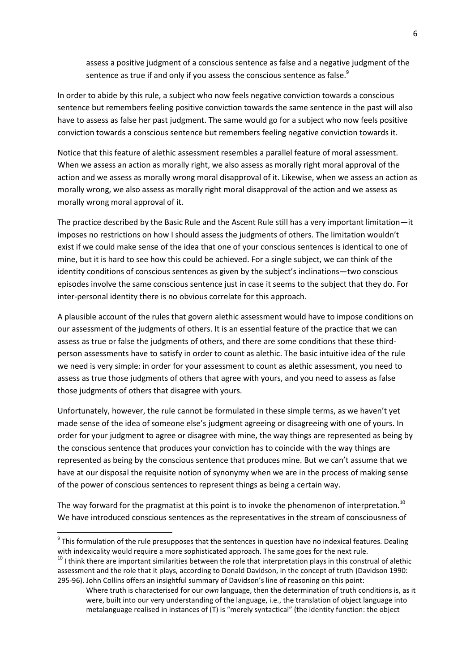assess a positive judgment of a conscious sentence as false and a negative judgment of the sentence as true if and only if you assess the conscious sentence as false.<sup>9</sup>

In order to abide by this rule, a subject who now feels negative conviction towards a conscious sentence but remembers feeling positive conviction towards the same sentence in the past will also have to assess as false her past judgment. The same would go for a subject who now feels positive conviction towards a conscious sentence but remembers feeling negative conviction towards it.

Notice that this feature of alethic assessment resembles a parallel feature of moral assessment. When we assess an action as morally right, we also assess as morally right moral approval of the action and we assess as morally wrong moral disapproval of it. Likewise, when we assess an action as morally wrong, we also assess as morally right moral disapproval of the action and we assess as morally wrong moral approval of it.

The practice described by the Basic Rule and the Ascent Rule still has a very important limitation—it imposes no restrictions on how I should assess the judgments of others. The limitation wouldn't exist if we could make sense of the idea that one of your conscious sentences is identical to one of mine, but it is hard to see how this could be achieved. For a single subject, we can think of the identity conditions of conscious sentences as given by the subject's inclinations—two conscious episodes involve the same conscious sentence just in case it seems to the subject that they do. For inter-personal identity there is no obvious correlate for this approach.

A plausible account of the rules that govern alethic assessment would have to impose conditions on our assessment of the judgments of others. It is an essential feature of the practice that we can assess as true or false the judgments of others, and there are some conditions that these thirdperson assessments have to satisfy in order to count as alethic. The basic intuitive idea of the rule we need is very simple: in order for your assessment to count as alethic assessment, you need to assess as true those judgments of others that agree with yours, and you need to assess as false those judgments of others that disagree with yours.

Unfortunately, however, the rule cannot be formulated in these simple terms, as we haven't yet made sense of the idea of someone else's judgment agreeing or disagreeing with one of yours. In order for your judgment to agree or disagree with mine, the way things are represented as being by the conscious sentence that produces your conviction has to coincide with the way things are represented as being by the conscious sentence that produces mine. But we can't assume that we have at our disposal the requisite notion of synonymy when we are in the process of making sense of the power of conscious sentences to represent things as being a certain way.

The way forward for the pragmatist at this point is to invoke the phenomenon of interpretation.<sup>10</sup> We have introduced conscious sentences as the representatives in the stream of consciousness of

 $9$  This formulation of the rule presupposes that the sentences in question have no indexical features. Dealing with indexicality would require a more sophisticated approach. The same goes for the next rule.

 $10$  I think there are important similarities between the role that interpretation plays in this construal of alethic assessment and the role that it plays, according to Donald Davidson, in the concept of truth [\(Davidson 1990:](#page-15-3) [295-96\)](#page-15-3). John Collins offers an insightful summary of Davidson's line of reasoning on this point:

Where truth is characterised for our *own* language, then the determination of truth conditions is, as it were, built into our very understanding of the language, i.e., the translation of object language into metalanguage realised in instances of (T) is "merely syntactical" (the identity function: the object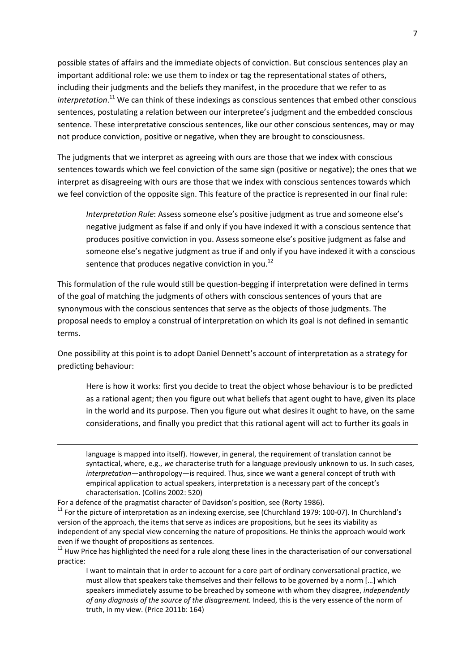possible states of affairs and the immediate objects of conviction. But conscious sentences play an important additional role: we use them to index or tag the representational states of others, including their judgments and the beliefs they manifest, in the procedure that we refer to as *interpretation*. <sup>11</sup> We can think of these indexings as conscious sentences that embed other conscious sentences, postulating a relation between our interpretee's judgment and the embedded conscious sentence. These interpretative conscious sentences, like our other conscious sentences, may or may not produce conviction, positive or negative, when they are brought to consciousness.

The judgments that we interpret as agreeing with ours are those that we index with conscious sentences towards which we feel conviction of the same sign (positive or negative); the ones that we interpret as disagreeing with ours are those that we index with conscious sentences towards which we feel conviction of the opposite sign. This feature of the practice is represented in our final rule:

*Interpretation Rule*: Assess someone else's positive judgment as true and someone else's negative judgment as false if and only if you have indexed it with a conscious sentence that produces positive conviction in you. Assess someone else's positive judgment as false and someone else's negative judgment as true if and only if you have indexed it with a conscious sentence that produces negative conviction in you.<sup>12</sup>

This formulation of the rule would still be question-begging if interpretation were defined in terms of the goal of matching the judgments of others with conscious sentences of yours that are synonymous with the conscious sentences that serve as the objects of those judgments. The proposal needs to employ a construal of interpretation on which its goal is not defined in semantic terms.

One possibility at this point is to adopt Daniel Dennett's account of interpretation as a strategy for predicting behaviour:

Here is how it works: first you decide to treat the object whose behaviour is to be predicted as a rational agent; then you figure out what beliefs that agent ought to have, given its place in the world and its purpose. Then you figure out what desires it ought to have, on the same considerations, and finally you predict that this rational agent will act to further its goals in

language is mapped into itself). However, in general, the requirement of translation cannot be syntactical, where, e.g., *we* characterise truth for a language previously unknown to us. In such cases, *interpretation*—anthropology—is required. Thus, since we want a general concept of truth with empirical application to actual speakers, interpretation is a necessary part of the concept's characterisation. [\(Collins 2002: 520\)](#page-15-1)

For a defence of the pragmatist character of Davidson's position, see [\(Rorty 1986\)](#page-16-5).

 $11$  For the picture of interpretation as an indexing exercise, see [\(Churchland 1979: 100-07\)](#page-15-4). In Churchland's version of the approach, the items that serve as indices are propositions, but he sees its viability as independent of any special view concerning the nature of propositions. He thinks the approach would work even if we thought of propositions as sentences.

<sup>&</sup>lt;sup>12</sup> Huw Price has highlighted the need for a rule along these lines in the characterisation of our conversational practice:

I want to maintain that in order to account for a core part of ordinary conversational practice, we must allow that speakers take themselves and their fellows to be governed by a norm […] which speakers immediately assume to be breached by someone with whom they disagree, *independently of any diagnosis of the source of the disagreement.* Indeed, this is the very essence of the norm of truth, in my view. [\(Price 2011b: 164\)](#page-16-6)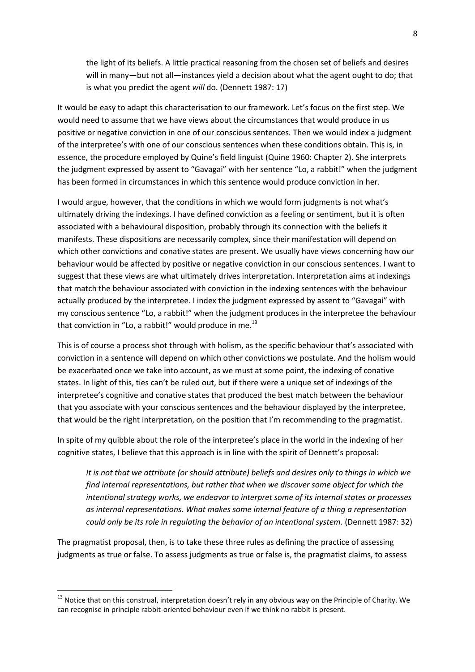the light of its beliefs. A little practical reasoning from the chosen set of beliefs and desires will in many—but not all—instances yield a decision about what the agent ought to do; that is what you predict the agent *will* do. [\(Dennett 1987: 17\)](#page-15-5)

It would be easy to adapt this characterisation to our framework. Let's focus on the first step. We would need to assume that we have views about the circumstances that would produce in us positive or negative conviction in one of our conscious sentences. Then we would index a judgment of the interpretee's with one of our conscious sentences when these conditions obtain. This is, in essence, the procedure employed by Quine's field linguist [\(Quine 1960: Chapter 2\)](#page-16-7). She interprets the judgment expressed by assent to "Gavagai" with her sentence "Lo, a rabbit!" when the judgment has been formed in circumstances in which this sentence would produce conviction in her.

I would argue, however, that the conditions in which we would form judgments is not what's ultimately driving the indexings. I have defined conviction as a feeling or sentiment, but it is often associated with a behavioural disposition, probably through its connection with the beliefs it manifests. These dispositions are necessarily complex, since their manifestation will depend on which other convictions and conative states are present. We usually have views concerning how our behaviour would be affected by positive or negative conviction in our conscious sentences. I want to suggest that these views are what ultimately drives interpretation. Interpretation aims at indexings that match the behaviour associated with conviction in the indexing sentences with the behaviour actually produced by the interpretee. I index the judgment expressed by assent to "Gavagai" with my conscious sentence "Lo, a rabbit!" when the judgment produces in the interpretee the behaviour that conviction in "Lo, a rabbit!" would produce in me. $^{13}$ 

This is of course a process shot through with holism, as the specific behaviour that's associated with conviction in a sentence will depend on which other convictions we postulate. And the holism would be exacerbated once we take into account, as we must at some point, the indexing of conative states. In light of this, ties can't be ruled out, but if there were a unique set of indexings of the interpretee's cognitive and conative states that produced the best match between the behaviour that you associate with your conscious sentences and the behaviour displayed by the interpretee, that would be the right interpretation, on the position that I'm recommending to the pragmatist.

In spite of my quibble about the role of the interpretee's place in the world in the indexing of her cognitive states, I believe that this approach is in line with the spirit of Dennett's proposal:

*It is not that we attribute (or should attribute) beliefs and desires only to things in which we find internal representations, but rather that when we discover some object for which the intentional strategy works, we endeavor to interpret some of its internal states or processes as internal representations. What makes some internal feature of a thing a representation could only be its role in regulating the behavior of an intentional system.* [\(Dennett 1987: 32\)](#page-15-5)

The pragmatist proposal, then, is to take these three rules as defining the practice of assessing judgments as true or false. To assess judgments as true or false is, the pragmatist claims, to assess

 $^{13}$  Notice that on this construal, interpretation doesn't rely in any obvious way on the Principle of Charity. We can recognise in principle rabbit-oriented behaviour even if we think no rabbit is present.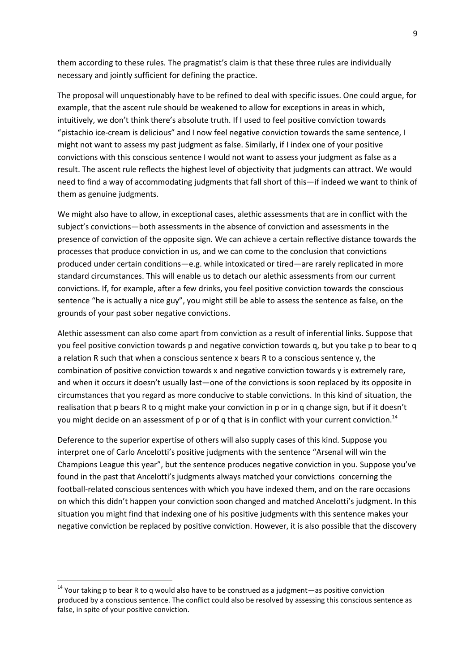them according to these rules. The pragmatist's claim is that these three rules are individually necessary and jointly sufficient for defining the practice.

The proposal will unquestionably have to be refined to deal with specific issues. One could argue, for example, that the ascent rule should be weakened to allow for exceptions in areas in which, intuitively, we don't think there's absolute truth. If I used to feel positive conviction towards "pistachio ice-cream is delicious" and I now feel negative conviction towards the same sentence, I might not want to assess my past judgment as false. Similarly, if I index one of your positive convictions with this conscious sentence I would not want to assess your judgment as false as a result. The ascent rule reflects the highest level of objectivity that judgments can attract. We would need to find a way of accommodating judgments that fall short of this—if indeed we want to think of them as genuine judgments.

We might also have to allow, in exceptional cases, alethic assessments that are in conflict with the subject's convictions—both assessments in the absence of conviction and assessments in the presence of conviction of the opposite sign. We can achieve a certain reflective distance towards the processes that produce conviction in us, and we can come to the conclusion that convictions produced under certain conditions—e.g. while intoxicated or tired—are rarely replicated in more standard circumstances. This will enable us to detach our alethic assessments from our current convictions. If, for example, after a few drinks, you feel positive conviction towards the conscious sentence "he is actually a nice guy", you might still be able to assess the sentence as false, on the grounds of your past sober negative convictions.

Alethic assessment can also come apart from conviction as a result of inferential links. Suppose that you feel positive conviction towards p and negative conviction towards q, but you take p to bear to q a relation R such that when a conscious sentence x bears R to a conscious sentence y, the combination of positive conviction towards x and negative conviction towards y is extremely rare, and when it occurs it doesn't usually last—one of the convictions is soon replaced by its opposite in circumstances that you regard as more conducive to stable convictions. In this kind of situation, the realisation that p bears R to q might make your conviction in p or in q change sign, but if it doesn't you might decide on an assessment of p or of q that is in conflict with your current conviction.<sup>14</sup>

Deference to the superior expertise of others will also supply cases of this kind. Suppose you interpret one of Carlo Ancelotti's positive judgments with the sentence "Arsenal will win the Champions League this year", but the sentence produces negative conviction in you. Suppose you've found in the past that Ancelotti's judgments always matched your convictions concerning the football-related conscious sentences with which you have indexed them, and on the rare occasions on which this didn't happen your conviction soon changed and matched Ancelotti's judgment. In this situation you might find that indexing one of his positive judgments with this sentence makes your negative conviction be replaced by positive conviction. However, it is also possible that the discovery

 $14$  Your taking p to bear R to q would also have to be construed as a judgment—as positive conviction produced by a conscious sentence. The conflict could also be resolved by assessing this conscious sentence as false, in spite of your positive conviction.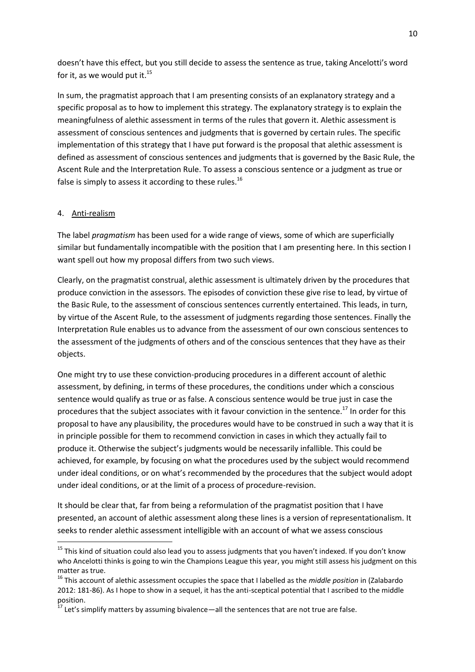doesn't have this effect, but you still decide to assess the sentence as true, taking Ancelotti's word for it, as we would put it. $^{15}$ 

In sum, the pragmatist approach that I am presenting consists of an explanatory strategy and a specific proposal as to how to implement this strategy. The explanatory strategy is to explain the meaningfulness of alethic assessment in terms of the rules that govern it. Alethic assessment is assessment of conscious sentences and judgments that is governed by certain rules. The specific implementation of this strategy that I have put forward is the proposal that alethic assessment is defined as assessment of conscious sentences and judgments that is governed by the Basic Rule, the Ascent Rule and the Interpretation Rule. To assess a conscious sentence or a judgment as true or false is simply to assess it according to these rules. $^{16}$ 

## 4. Anti-realism

 $\overline{a}$ 

The label *pragmatism* has been used for a wide range of views, some of which are superficially similar but fundamentally incompatible with the position that I am presenting here. In this section I want spell out how my proposal differs from two such views.

Clearly, on the pragmatist construal, alethic assessment is ultimately driven by the procedures that produce conviction in the assessors. The episodes of conviction these give rise to lead, by virtue of the Basic Rule, to the assessment of conscious sentences currently entertained. This leads, in turn, by virtue of the Ascent Rule, to the assessment of judgments regarding those sentences. Finally the Interpretation Rule enables us to advance from the assessment of our own conscious sentences to the assessment of the judgments of others and of the conscious sentences that they have as their objects.

One might try to use these conviction-producing procedures in a different account of alethic assessment, by defining, in terms of these procedures, the conditions under which a conscious sentence would qualify as true or as false. A conscious sentence would be true just in case the procedures that the subject associates with it favour conviction in the sentence.<sup>17</sup> In order for this proposal to have any plausibility, the procedures would have to be construed in such a way that it is in principle possible for them to recommend conviction in cases in which they actually fail to produce it. Otherwise the subject's judgments would be necessarily infallible. This could be achieved, for example, by focusing on what the procedures used by the subject would recommend under ideal conditions, or on what's recommended by the procedures that the subject would adopt under ideal conditions, or at the limit of a process of procedure-revision.

It should be clear that, far from being a reformulation of the pragmatist position that I have presented, an account of alethic assessment along these lines is a version of representationalism. It seeks to render alethic assessment intelligible with an account of what we assess conscious

 $^{15}$  This kind of situation could also lead you to assess judgments that you haven't indexed. If you don't know who Ancelotti thinks is going to win the Champions League this year, you might still assess his judgment on this matter as true.

<sup>16</sup> This account of alethic assessment occupies the space that I labelled as the *middle position* in [\(Zalabardo](#page-16-8)  [2012: 181-86\)](#page-16-8). As I hope to show in a sequel, it has the anti-sceptical potential that I ascribed to the middle position.

<sup>&</sup>lt;sup>17</sup> Let's simplify matters by assuming bivalence—all the sentences that are not true are false.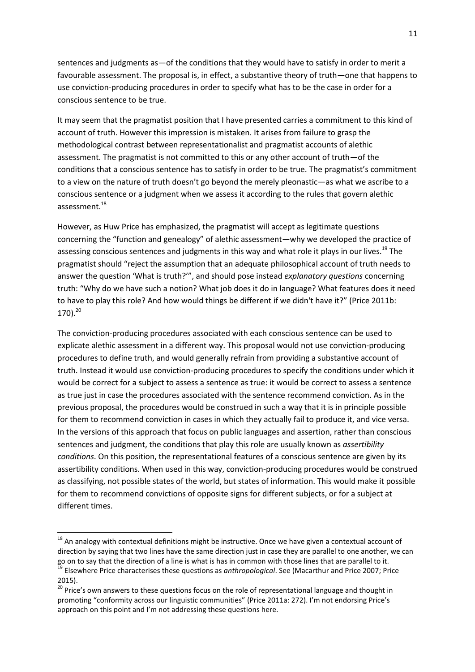sentences and judgments as—of the conditions that they would have to satisfy in order to merit a favourable assessment. The proposal is, in effect, a substantive theory of truth—one that happens to use conviction-producing procedures in order to specify what has to be the case in order for a conscious sentence to be true.

It may seem that the pragmatist position that I have presented carries a commitment to this kind of account of truth. However this impression is mistaken. It arises from failure to grasp the methodological contrast between representationalist and pragmatist accounts of alethic assessment. The pragmatist is not committed to this or any other account of truth—of the conditions that a conscious sentence has to satisfy in order to be true. The pragmatist's commitment to a view on the nature of truth doesn't go beyond the merely pleonastic—as what we ascribe to a conscious sentence or a judgment when we assess it according to the rules that govern alethic assessment.<sup>18</sup>

However, as Huw Price has emphasized, the pragmatist will accept as legitimate questions concerning the "function and genealogy" of alethic assessment—why we developed the practice of assessing conscious sentences and judgments in this way and what role it plays in our lives.<sup>19</sup> The pragmatist should "reject the assumption that an adequate philosophical account of truth needs to answer the question 'What is truth?'", and should pose instead *explanatory questions* concerning truth: "Why do we have such a notion? What job does it do in language? What features does it need to have to play this role? And how would things be different if we didn't have it?" [\(Price 2011b:](#page-16-6)  [170\)](#page-16-6). 20

The conviction-producing procedures associated with each conscious sentence can be used to explicate alethic assessment in a different way. This proposal would not use conviction-producing procedures to define truth, and would generally refrain from providing a substantive account of truth. Instead it would use conviction-producing procedures to specify the conditions under which it would be correct for a subject to assess a sentence as true: it would be correct to assess a sentence as true just in case the procedures associated with the sentence recommend conviction. As in the previous proposal, the procedures would be construed in such a way that it is in principle possible for them to recommend conviction in cases in which they actually fail to produce it, and vice versa. In the versions of this approach that focus on public languages and assertion, rather than conscious sentences and judgment, the conditions that play this role are usually known as *assertibility conditions*. On this position, the representational features of a conscious sentence are given by its assertibility conditions. When used in this way, conviction-producing procedures would be construed as classifying, not possible states of the world, but states of information. This would make it possible for them to recommend convictions of opposite signs for different subjects, or for a subject at different times.

<sup>&</sup>lt;sup>18</sup> An analogy with contextual definitions might be instructive. Once we have given a contextual account of direction by saying that two lines have the same direction just in case they are parallel to one another, we can go on to say that the direction of a line is what is has in common with those lines that are parallel to it. <sup>19</sup> Elsewhere Price characterises these questions as *anthropological*. See [\(Macarthur and Price 2007;](#page-16-9) [Price](#page-16-10)  [2015\)](#page-16-10).

<sup>&</sup>lt;sup>20</sup> Price's own answers to these questions focus on the role of representational language and thought in promoting "conformity across our linguistic communities" [\(Price 2011a: 272\)](#page-16-11). I'm not endorsing Price's approach on this point and I'm not addressing these questions here.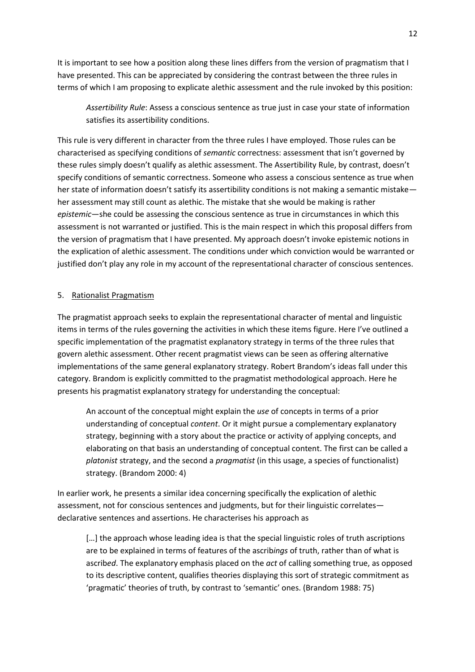It is important to see how a position along these lines differs from the version of pragmatism that I have presented. This can be appreciated by considering the contrast between the three rules in terms of which I am proposing to explicate alethic assessment and the rule invoked by this position:

*Assertibility Rule*: Assess a conscious sentence as true just in case your state of information satisfies its assertibility conditions.

This rule is very different in character from the three rules I have employed. Those rules can be characterised as specifying conditions of *semantic* correctness: assessment that isn't governed by these rules simply doesn't qualify as alethic assessment. The Assertibility Rule, by contrast, doesn't specify conditions of semantic correctness. Someone who assess a conscious sentence as true when her state of information doesn't satisfy its assertibility conditions is not making a semantic mistake her assessment may still count as alethic. The mistake that she would be making is rather *epistemic*—she could be assessing the conscious sentence as true in circumstances in which this assessment is not warranted or justified. This is the main respect in which this proposal differs from the version of pragmatism that I have presented. My approach doesn't invoke epistemic notions in the explication of alethic assessment. The conditions under which conviction would be warranted or justified don't play any role in my account of the representational character of conscious sentences.

## 5. Rationalist Pragmatism

The pragmatist approach seeks to explain the representational character of mental and linguistic items in terms of the rules governing the activities in which these items figure. Here I've outlined a specific implementation of the pragmatist explanatory strategy in terms of the three rules that govern alethic assessment. Other recent pragmatist views can be seen as offering alternative implementations of the same general explanatory strategy. Robert Brandom's ideas fall under this category. Brandom is explicitly committed to the pragmatist methodological approach. Here he presents his pragmatist explanatory strategy for understanding the conceptual:

An account of the conceptual might explain the *use* of concepts in terms of a prior understanding of conceptual *content*. Or it might pursue a complementary explanatory strategy, beginning with a story about the practice or activity of applying concepts, and elaborating on that basis an understanding of conceptual content. The first can be called a *platonist* strategy, and the second a *pragmatist* (in this usage, a species of functionalist) strategy. [\(Brandom 2000: 4\)](#page-15-6)

In earlier work, he presents a similar idea concerning specifically the explication of alethic assessment, not for conscious sentences and judgments, but for their linguistic correlates declarative sentences and assertions. He characterises his approach as

[...] the approach whose leading idea is that the special linguistic roles of truth ascriptions are to be explained in terms of features of the ascrib*ings* of truth, rather than of what is ascrib*ed*. The explanatory emphasis placed on the *act* of calling something true, as opposed to its descriptive content, qualifies theories displaying this sort of strategic commitment as 'pragmatic' theories of truth, by contrast to 'semantic' ones. [\(Brandom 1988: 75\)](#page-15-7)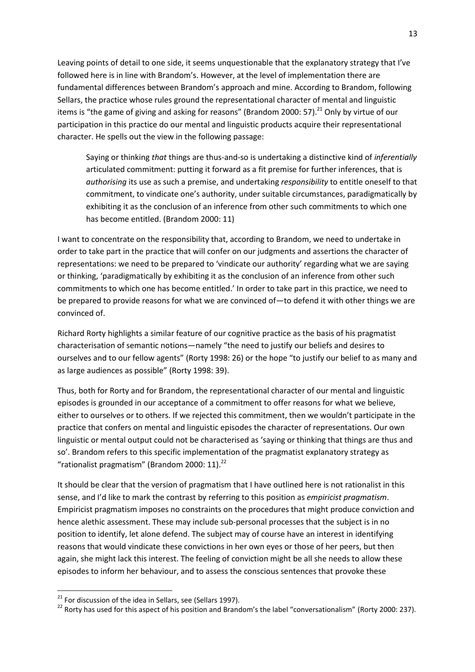Leaving points of detail to one side, it seems unquestionable that the explanatory strategy that I've followed here is in line with Brandom's. However, at the level of implementation there are fundamental differences between Brandom's approach and mine. According to Brandom, following Sellars, the practice whose rules ground the representational character of mental and linguistic items is "the game of giving and asking for reasons" [\(Brandom 2000: 57\)](#page-15-6).<sup>21</sup> Only by virtue of our participation in this practice do our mental and linguistic products acquire their representational character. He spells out the view in the following passage:

Saying or thinking *that* things are thus-and-so is undertaking a distinctive kind of *inferentially* articulated commitment: putting it forward as a fit premise for further inferences, that is *authorising* its use as such a premise, and undertaking *responsibility* to entitle oneself to that commitment, to vindicate one's authority, under suitable circumstances, paradigmatically by exhibiting it as the conclusion of an inference from other such commitments to which one has become entitled. [\(Brandom 2000: 11\)](#page-15-6)

I want to concentrate on the responsibility that, according to Brandom, we need to undertake in order to take part in the practice that will confer on our judgments and assertions the character of representations: we need to be prepared to 'vindicate our authority' regarding what we are saying or thinking, 'paradigmatically by exhibiting it as the conclusion of an inference from other such commitments to which one has become entitled.' In order to take part in this practice, we need to be prepared to provide reasons for what we are convinced of—to defend it with other things we are convinced of.

Richard Rorty highlights a similar feature of our cognitive practice as the basis of his pragmatist characterisation of semantic notions—namely "the need to justify our beliefs and desires to ourselves and to our fellow agents" [\(Rorty 1998: 26\)](#page-16-12) or the hope "to justify our belief to as many and as large audiences as possible" [\(Rorty 1998: 39\)](#page-16-12).

Thus, both for Rorty and for Brandom, the representational character of our mental and linguistic episodes is grounded in our acceptance of a commitment to offer reasons for what we believe, either to ourselves or to others. If we rejected this commitment, then we wouldn't participate in the practice that confers on mental and linguistic episodes the character of representations. Our own linguistic or mental output could not be characterised as 'saying or thinking that things are thus and so'. Brandom refers to this specific implementation of the pragmatist explanatory strategy as "rationalist pragmatism" [\(Brandom 2000: 11\)](#page-15-6). 22

It should be clear that the version of pragmatism that I have outlined here is not rationalist in this sense, and I'd like to mark the contrast by referring to this position as *empiricist pragmatism*. Empiricist pragmatism imposes no constraints on the procedures that might produce conviction and hence alethic assessment. These may include sub-personal processes that the subject is in no position to identify, let alone defend. The subject may of course have an interest in identifying reasons that would vindicate these convictions in her own eyes or those of her peers, but then again, she might lack this interest. The feeling of conviction might be all she needs to allow these episodes to inform her behaviour, and to assess the conscious sentences that provoke these

 $21$  For discussion of the idea in Sellars, see [\(Sellars 1997\)](#page-16-13).

 $^{22}$  Rortv has used for this aspect of his position and Brandom's the label "conversationalism" [\(Rorty 2000: 237\)](#page-16-14).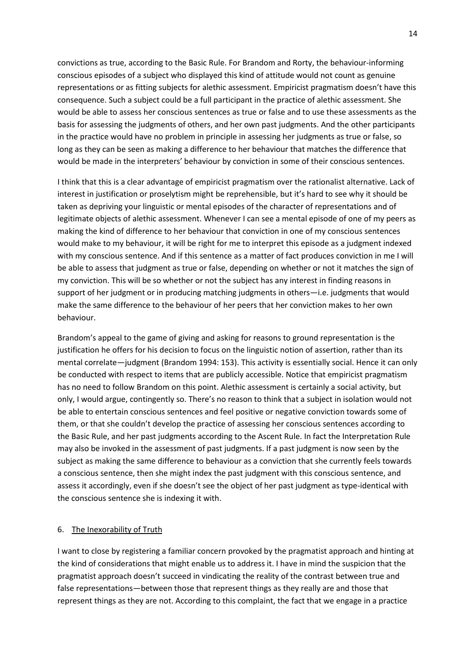convictions as true, according to the Basic Rule. For Brandom and Rorty, the behaviour-informing conscious episodes of a subject who displayed this kind of attitude would not count as genuine representations or as fitting subjects for alethic assessment. Empiricist pragmatism doesn't have this consequence. Such a subject could be a full participant in the practice of alethic assessment. She would be able to assess her conscious sentences as true or false and to use these assessments as the basis for assessing the judgments of others, and her own past judgments. And the other participants in the practice would have no problem in principle in assessing her judgments as true or false, so long as they can be seen as making a difference to her behaviour that matches the difference that would be made in the interpreters' behaviour by conviction in some of their conscious sentences.

I think that this is a clear advantage of empiricist pragmatism over the rationalist alternative. Lack of interest in justification or proselytism might be reprehensible, but it's hard to see why it should be taken as depriving your linguistic or mental episodes of the character of representations and of legitimate objects of alethic assessment. Whenever I can see a mental episode of one of my peers as making the kind of difference to her behaviour that conviction in one of my conscious sentences would make to my behaviour, it will be right for me to interpret this episode as a judgment indexed with my conscious sentence. And if this sentence as a matter of fact produces conviction in me I will be able to assess that judgment as true or false, depending on whether or not it matches the sign of my conviction. This will be so whether or not the subject has any interest in finding reasons in support of her judgment or in producing matching judgments in others—i.e. judgments that would make the same difference to the behaviour of her peers that her conviction makes to her own behaviour.

Brandom's appeal to the game of giving and asking for reasons to ground representation is the justification he offers for his decision to focus on the linguistic notion of assertion, rather than its mental correlate—judgment [\(Brandom 1994: 153\)](#page-15-8). This activity is essentially social. Hence it can only be conducted with respect to items that are publicly accessible. Notice that empiricist pragmatism has no need to follow Brandom on this point. Alethic assessment is certainly a social activity, but only, I would argue, contingently so. There's no reason to think that a subject in isolation would not be able to entertain conscious sentences and feel positive or negative conviction towards some of them, or that she couldn't develop the practice of assessing her conscious sentences according to the Basic Rule, and her past judgments according to the Ascent Rule. In fact the Interpretation Rule may also be invoked in the assessment of past judgments. If a past judgment is now seen by the subject as making the same difference to behaviour as a conviction that she currently feels towards a conscious sentence, then she might index the past judgment with this conscious sentence, and assess it accordingly, even if she doesn't see the object of her past judgment as type-identical with the conscious sentence she is indexing it with.

#### 6. The Inexorability of Truth

I want to close by registering a familiar concern provoked by the pragmatist approach and hinting at the kind of considerations that might enable us to address it. I have in mind the suspicion that the pragmatist approach doesn't succeed in vindicating the reality of the contrast between true and false representations—between those that represent things as they really are and those that represent things as they are not. According to this complaint, the fact that we engage in a practice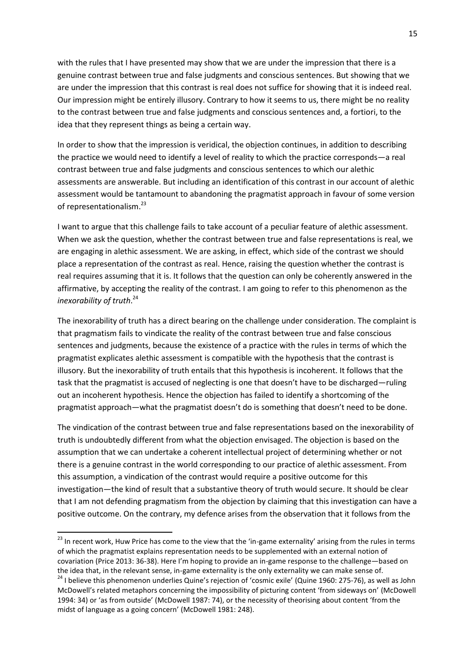with the rules that I have presented may show that we are under the impression that there is a genuine contrast between true and false judgments and conscious sentences. But showing that we are under the impression that this contrast is real does not suffice for showing that it is indeed real. Our impression might be entirely illusory. Contrary to how it seems to us, there might be no reality to the contrast between true and false judgments and conscious sentences and, a fortiori, to the idea that they represent things as being a certain way.

In order to show that the impression is veridical, the objection continues, in addition to describing the practice we would need to identify a level of reality to which the practice corresponds—a real contrast between true and false judgments and conscious sentences to which our alethic assessments are answerable. But including an identification of this contrast in our account of alethic assessment would be tantamount to abandoning the pragmatist approach in favour of some version of representationalism.<sup>23</sup>

I want to argue that this challenge fails to take account of a peculiar feature of alethic assessment. When we ask the question, whether the contrast between true and false representations is real, we are engaging in alethic assessment. We are asking, in effect, which side of the contrast we should place a representation of the contrast as real. Hence, raising the question whether the contrast is real requires assuming that it is. It follows that the question can only be coherently answered in the affirmative, by accepting the reality of the contrast. I am going to refer to this phenomenon as the *inexorability of truth*. 24

The inexorability of truth has a direct bearing on the challenge under consideration. The complaint is that pragmatism fails to vindicate the reality of the contrast between true and false conscious sentences and judgments, because the existence of a practice with the rules in terms of which the pragmatist explicates alethic assessment is compatible with the hypothesis that the contrast is illusory. But the inexorability of truth entails that this hypothesis is incoherent. It follows that the task that the pragmatist is accused of neglecting is one that doesn't have to be discharged—ruling out an incoherent hypothesis. Hence the objection has failed to identify a shortcoming of the pragmatist approach—what the pragmatist doesn't do is something that doesn't need to be done.

The vindication of the contrast between true and false representations based on the inexorability of truth is undoubtedly different from what the objection envisaged. The objection is based on the assumption that we can undertake a coherent intellectual project of determining whether or not there is a genuine contrast in the world corresponding to our practice of alethic assessment. From this assumption, a vindication of the contrast would require a positive outcome for this investigation—the kind of result that a substantive theory of truth would secure. It should be clear that I am not defending pragmatism from the objection by claiming that this investigation can have a positive outcome. On the contrary, my defence arises from the observation that it follows from the

<sup>&</sup>lt;sup>23</sup> In recent work, Huw Price has come to the view that the 'in-game externality' arising from the rules in terms of which the pragmatist explains representation needs to be supplemented with an external notion of covariation [\(Price 2013: 36-38\)](#page-16-3). Here I'm hoping to provide an in-game response to the challenge—based on the idea that, in the relevant sense, in-game externality is the only externality we can make sense of.

<sup>&</sup>lt;sup>24</sup> I believe this phenomenon underlies Quine's rejection of 'cosmic exile' [\(Quine 1960: 275-76\)](#page-16-7), as well as John McDowell's related metaphors concerning the impossibility of picturing content 'from sideways on' [\(McDowell](#page-16-15)  [1994: 34\)](#page-16-15) or 'as from outside' [\(McDowell 1987: 74\)](#page-16-16), or the necessity of theorising about content 'from the midst of language as a going concern' [\(McDowell 1981: 248\)](#page-16-17).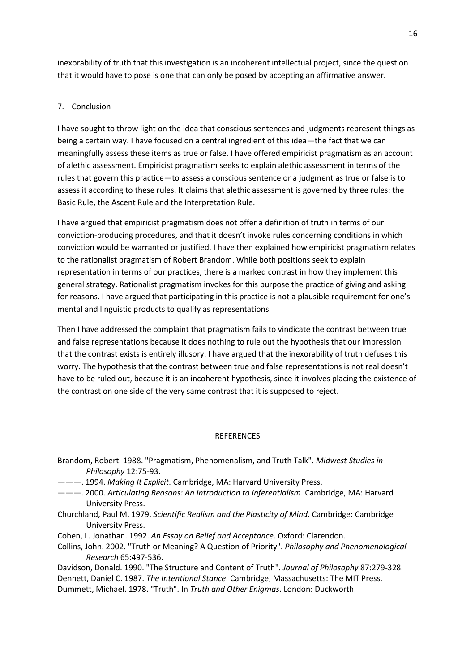inexorability of truth that this investigation is an incoherent intellectual project, since the question that it would have to pose is one that can only be posed by accepting an affirmative answer.

# 7. Conclusion

I have sought to throw light on the idea that conscious sentences and judgments represent things as being a certain way. I have focused on a central ingredient of this idea—the fact that we can meaningfully assess these items as true or false. I have offered empiricist pragmatism as an account of alethic assessment. Empiricist pragmatism seeks to explain alethic assessment in terms of the rules that govern this practice—to assess a conscious sentence or a judgment as true or false is to assess it according to these rules. It claims that alethic assessment is governed by three rules: the Basic Rule, the Ascent Rule and the Interpretation Rule.

I have argued that empiricist pragmatism does not offer a definition of truth in terms of our conviction-producing procedures, and that it doesn't invoke rules concerning conditions in which conviction would be warranted or justified. I have then explained how empiricist pragmatism relates to the rationalist pragmatism of Robert Brandom. While both positions seek to explain representation in terms of our practices, there is a marked contrast in how they implement this general strategy. Rationalist pragmatism invokes for this purpose the practice of giving and asking for reasons. I have argued that participating in this practice is not a plausible requirement for one's mental and linguistic products to qualify as representations.

Then I have addressed the complaint that pragmatism fails to vindicate the contrast between true and false representations because it does nothing to rule out the hypothesis that our impression that the contrast exists is entirely illusory. I have argued that the inexorability of truth defuses this worry. The hypothesis that the contrast between true and false representations is not real doesn't have to be ruled out, because it is an incoherent hypothesis, since it involves placing the existence of the contrast on one side of the very same contrast that it is supposed to reject.

#### REFERENCES

- <span id="page-15-7"></span>Brandom, Robert. 1988. "Pragmatism, Phenomenalism, and Truth Talk". *Midwest Studies in Philosophy* 12:75-93.
- <span id="page-15-8"></span>———. 1994. *Making It Explicit*. Cambridge, MA: Harvard University Press.
- <span id="page-15-6"></span>———. 2000. *Articulating Reasons: An Introduction to Inferentialism*. Cambridge, MA: Harvard University Press.
- <span id="page-15-4"></span>Churchland, Paul M. 1979. *Scientific Realism and the Plasticity of Mind*. Cambridge: Cambridge University Press.
- <span id="page-15-0"></span>Cohen, L. Jonathan. 1992. *An Essay on Belief and Acceptance*. Oxford: Clarendon.
- <span id="page-15-1"></span>Collins, John. 2002. "Truth or Meaning? A Question of Priority". *Philosophy and Phenomenological Research* 65:497-536.
- <span id="page-15-5"></span><span id="page-15-3"></span><span id="page-15-2"></span>Davidson, Donald. 1990. "The Structure and Content of Truth". *Journal of Philosophy* 87:279-328. Dennett, Daniel C. 1987. *The Intentional Stance*. Cambridge, Massachusetts: The MIT Press. Dummett, Michael. 1978. "Truth". In *Truth and Other Enigmas*. London: Duckworth.